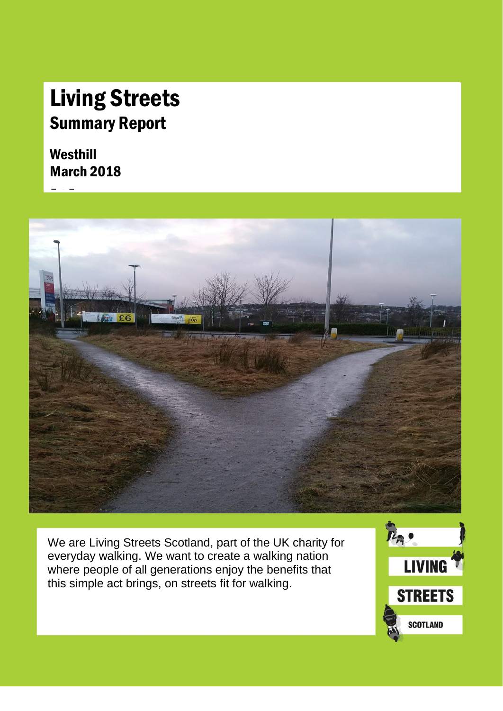### Living Streets Summary Report

### Westhill March 2018



We are Living Streets Scotland, part of the UK charity for everyday walking. We want to create a walking nation where people of all generations enjoy the benefits that this simple act brings, on streets fit for walking.

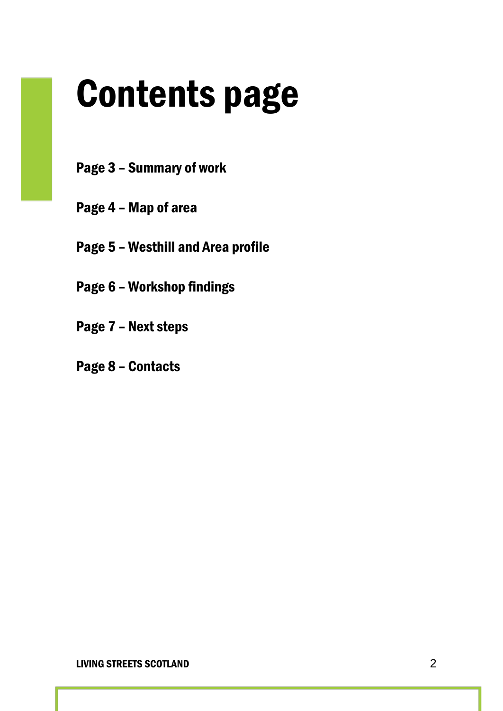## Contents page

- Page 3 Summary of work
- Page 4 Map of area
- Page 5 Westhill and Area profile
- Page 6 Workshop findings
- Page 7 Next steps
- Page 8 Contacts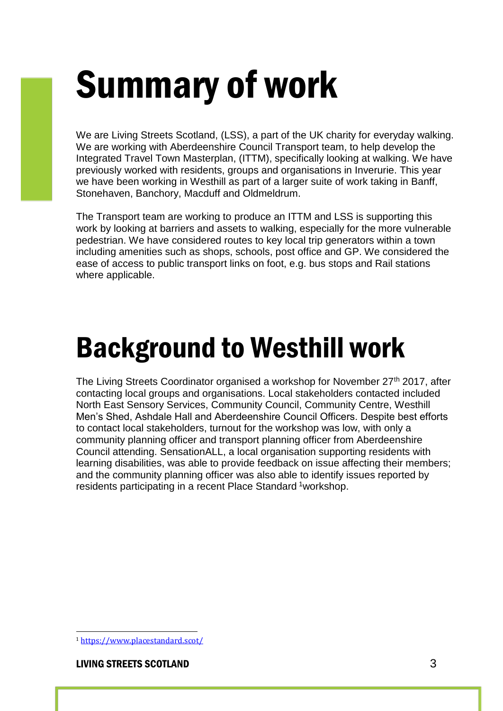## Summary of work

We are Living Streets Scotland, (LSS), a part of the UK charity for everyday walking. We are working with Aberdeenshire Council Transport team, to help develop the Integrated Travel Town Masterplan, (ITTM), specifically looking at walking. We have previously worked with residents, groups and organisations in Inverurie. This year we have been working in Westhill as part of a larger suite of work taking in Banff, Stonehaven, Banchory, Macduff and Oldmeldrum.

The Transport team are working to produce an ITTM and LSS is supporting this work by looking at barriers and assets to walking, especially for the more vulnerable pedestrian. We have considered routes to key local trip generators within a town including amenities such as shops, schools, post office and GP. We considered the ease of access to public transport links on foot, e.g. bus stops and Rail stations where applicable.

### Background to Westhill work

The Living Streets Coordinator organised a workshop for November  $27<sup>th</sup>$  2017, after contacting local groups and organisations. Local stakeholders contacted included North East Sensory Services, Community Council, Community Centre, Westhill Men's Shed, Ashdale Hall and Aberdeenshire Council Officers. Despite best efforts to contact local stakeholders, turnout for the workshop was low, with only a community planning officer and transport planning officer from Aberdeenshire Council attending. SensationALL, a local organisation supporting residents with learning disabilities, was able to provide feedback on issue affecting their members; and the community planning officer was also able to identify issues reported by residents participating in a recent Place Standard <sup>1</sup>workshop.

#### LIVING STREETS SCOTLAND 3

 $\overline{a}$ 

<sup>1</sup> <https://www.placestandard.scot/>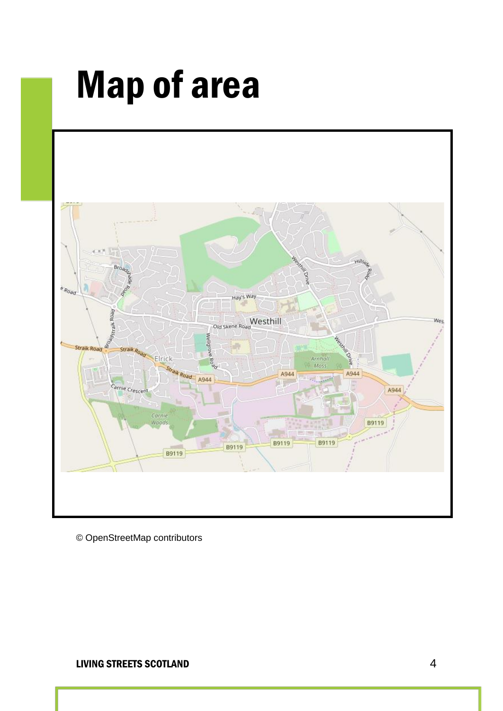### Map of area



© OpenStreetMap contributors

#### LIVING STREETS SCOTLAND 4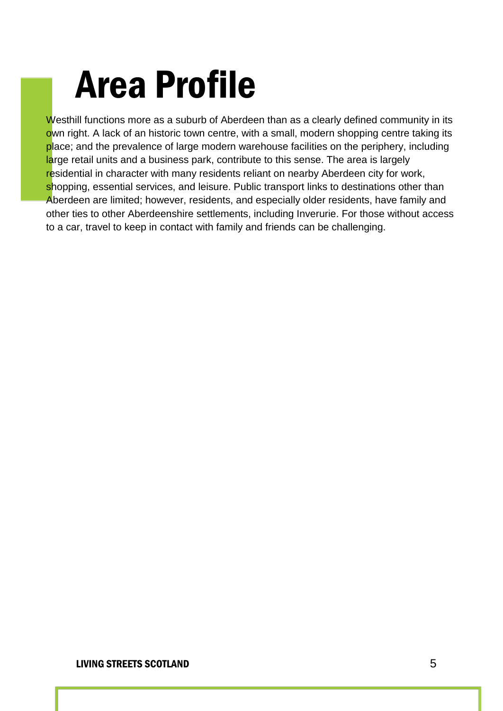### Area Profile

Westhill functions more as a suburb of Aberdeen than as a clearly defined community in its own right. A lack of an historic town centre, with a small, modern shopping centre taking its place; and the prevalence of large modern warehouse facilities on the periphery, including large retail units and a business park, contribute to this sense. The area is largely residential in character with many residents reliant on nearby Aberdeen city for work, shopping, essential services, and leisure. Public transport links to destinations other than Aberdeen are limited; however, residents, and especially older residents, have family and other ties to other Aberdeenshire settlements, including Inverurie. For those without access to a car, travel to keep in contact with family and friends can be challenging.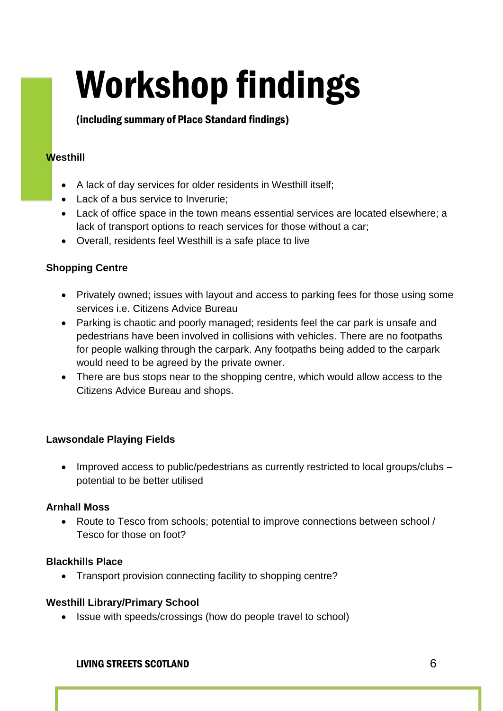# Workshop findings

#### (including summary of Place Standard findings)

#### **Westhill**

- A lack of day services for older residents in Westhill itself;
- Lack of a bus service to Inverurie:
- Lack of office space in the town means essential services are located elsewhere; a lack of transport options to reach services for those without a car;
- Overall, residents feel Westhill is a safe place to live

#### **Shopping Centre**

- Privately owned; issues with layout and access to parking fees for those using some services i.e. Citizens Advice Bureau
- Parking is chaotic and poorly managed; residents feel the car park is unsafe and pedestrians have been involved in collisions with vehicles. There are no footpaths for people walking through the carpark. Any footpaths being added to the carpark would need to be agreed by the private owner.
- There are bus stops near to the shopping centre, which would allow access to the Citizens Advice Bureau and shops.

#### **Lawsondale Playing Fields**

• Improved access to public/pedestrians as currently restricted to local groups/clubs – potential to be better utilised

#### **Arnhall Moss**

 Route to Tesco from schools; potential to improve connections between school / Tesco for those on foot?

#### **Blackhills Place**

• Transport provision connecting facility to shopping centre?

#### **Westhill Library/Primary School**

• Issue with speeds/crossings (how do people travel to school)

#### LIVING STREETS SCOTLAND 6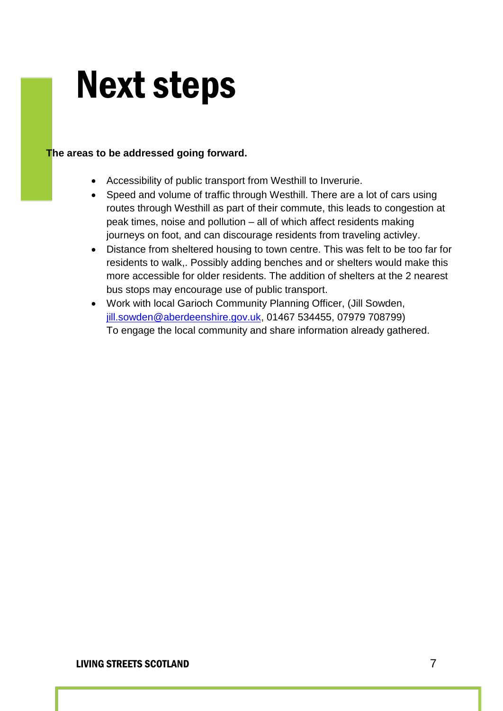### Next steps

#### **The areas to be addressed going forward.**

- Accessibility of public transport from Westhill to Inverurie.
- Speed and volume of traffic through Westhill. There are a lot of cars using routes through Westhill as part of their commute, this leads to congestion at peak times, noise and pollution – all of which affect residents making journeys on foot, and can discourage residents from traveling activley.
- Distance from sheltered housing to town centre. This was felt to be too far for residents to walk,. Possibly adding benches and or shelters would make this more accessible for older residents. The addition of shelters at the 2 nearest bus stops may encourage use of public transport.
- Work with local Garioch Community Planning Officer, (Jill Sowden, [jill.sowden@aberdeenshire.gov.uk,](mailto:jill.sowden@aberdeenshire.gov.uk) 01467 534455, 07979 708799) To engage the local community and share information already gathered.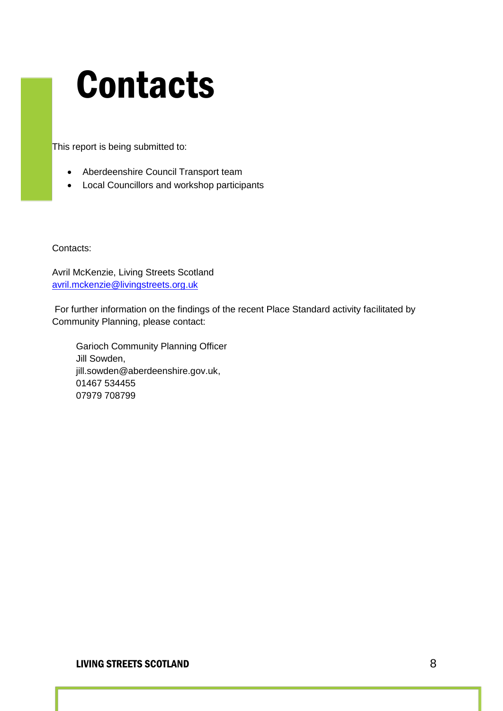### **Contacts**

This report is being submitted to:

- Aberdeenshire Council Transport team
- Local Councillors and workshop participants

Contacts:

Avril McKenzie, Living Streets Scotland [avril.mckenzie@livingstreets.org.uk](mailto:avril.mckenzie@livingstreets.org.uk)

For further information on the findings of the recent Place Standard activity facilitated by Community Planning, please contact:

Garioch Community Planning Officer Jill Sowden, [jill.sowden@aberdeenshire.gov.uk,](mailto:jill.sowden@aberdeenshire.gov.uk) 01467 534455 07979 708799